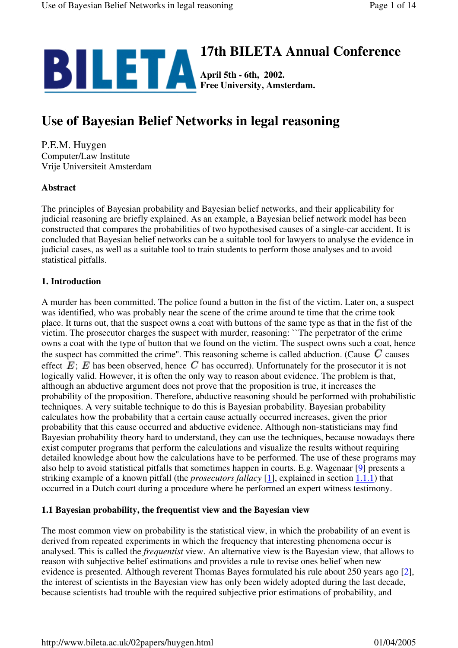

# **Use of Bayesian Belief Networks in legal reasoning**

P.E.M. Huygen Computer/Law Institute Vrije Universiteit Amsterdam

# **Abstract**

The principles of Bayesian probability and Bayesian belief networks, and their applicability for judicial reasoning are briefly explained. As an example, a Bayesian belief network model has been constructed that compares the probabilities of two hypothesised causes of a single-car accident. It is concluded that Bayesian belief networks can be a suitable tool for lawyers to analyse the evidence in judicial cases, as well as a suitable tool to train students to perform those analyses and to avoid statistical pitfalls.

# **1. Introduction**

A murder has been committed. The police found a button in the fist of the victim. Later on, a suspect was identified, who was probably near the scene of the crime around te time that the crime took place. It turns out, that the suspect owns a coat with buttons of the same type as that in the fist of the victim. The prosecutor charges the suspect with murder, reasoning: ``The perpetrator of the crime owns a coat with the type of button that we found on the victim. The suspect owns such a coat, hence the suspect has committed the crime". This reasoning scheme is called abduction. (Cause  $C$  causes effect  $E$ ;  $E$  has been observed, hence  $C$  has occurred). Unfortunately for the prosecutor it is not logically valid. However, it is often the only way to reason about evidence. The problem is that, although an abductive argument does not prove that the proposition is true, it increases the probability of the proposition. Therefore, abductive reasoning should be performed with probabilistic techniques. A very suitable technique to do this is Bayesian probability. Bayesian probability calculates how the probability that a certain cause actually occurred increases, given the prior probability that this cause occurred and abductive evidence. Although non-statisticians may find Bayesian probability theory hard to understand, they can use the techniques, because nowadays there exist computer programs that perform the calculations and visualize the results without requiring detailed knowledge about how the calculations have to be performed. The use of these programs may also help to avoid statistical pitfalls that sometimes happen in courts. E.g. Wagenaar [9] presents a striking example of a known pitfall (the *prosecutors fallacy* [1], explained in section 1.1.1) that occurred in a Dutch court during a procedure where he performed an expert witness testimony.

# **1.1 Bayesian probability, the frequentist view and the Bayesian view**

The most common view on probability is the statistical view, in which the probability of an event is derived from repeated experiments in which the frequency that interesting phenomena occur is analysed. This is called the *frequentist* view. An alternative view is the Bayesian view, that allows to reason with subjective belief estimations and provides a rule to revise ones belief when new evidence is presented. Although reverent Thomas Bayes formulated his rule about 250 years ago [2], the interest of scientists in the Bayesian view has only been widely adopted during the last decade, because scientists had trouble with the required subjective prior estimations of probability, and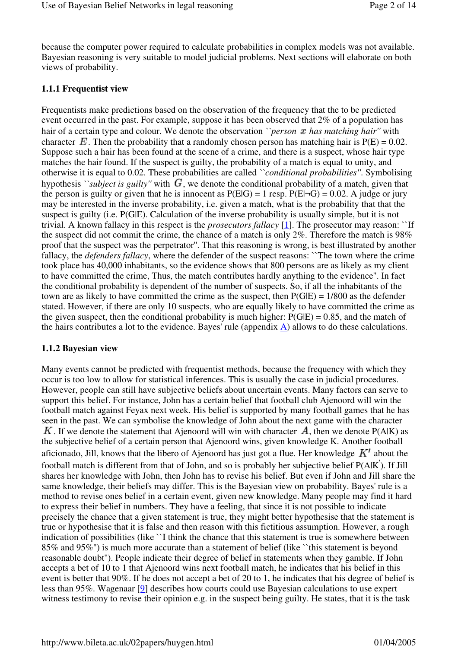because the computer power required to calculate probabilities in complex models was not available. Bayesian reasoning is very suitable to model judicial problems. Next sections will elaborate on both views of probability.

#### **1.1.1 Frequentist view**

Frequentists make predictions based on the observation of the frequency that the to be predicted event occurred in the past. For example, suppose it has been observed that 2% of a population has hair of a certain type and colour. We denote the observation *``person*  $x$  *has matching hair''* with character  $\vec{E}$ . Then the probability that a randomly chosen person has matching hair is  $P(E) = 0.02$ . Suppose such a hair has been found at the scene of a crime, and there is a suspect, whose hair type matches the hair found. If the suspect is guilty, the probability of a match is equal to unity, and otherwise it is equal to 0.02. These probabilities are called *``conditional probabilities''*. Symbolising hypothesis *``subject is guilty''* with  $G$ , we denote the conditional probability of a match, given that the person is guilty or given that he is innocent as  $P(E|G) = 1$  resp.  $P(E|\neg G) = 0.02$ . A judge or jury may be interested in the inverse probability, i.e. given a match, what is the probability that that the suspect is guilty (i.e. P(G|E). Calculation of the inverse probability is usually simple, but it is not trivial. A known fallacy in this respect is the *prosecutors fallacy* [1]. The prosecutor may reason: ``If the suspect did not commit the crime, the chance of a match is only 2%. Therefore the match is 98% proof that the suspect was the perpetrator''. That this reasoning is wrong, is best illustrated by another fallacy, the *defenders fallacy*, where the defender of the suspect reasons: ``The town where the crime took place has 40,000 inhabitants, so the evidence shows that 800 persons are as likely as my client to have committed the crime, Thus, the match contributes hardly anything to the evidence''. In fact the conditional probability is dependent of the number of suspects. So, if all the inhabitants of the town are as likely to have committed the crime as the suspect, then P(G|E) = 1/800 as the defender stated. However, if there are only 10 suspects, who are equally likely to have committed the crime as the given suspect, then the conditional probability is much higher:  $P(G|E) = 0.85$ , and the match of the hairs contributes a lot to the evidence. Bayes' rule (appendix  $\underline{A}$ ) allows to do these calculations.

#### **1.1.2 Bayesian view**

Many events cannot be predicted with frequentist methods, because the frequency with which they occur is too low to allow for statistical inferences. This is usually the case in judicial procedures. However, people can still have subjective beliefs about uncertain events. Many factors can serve to support this belief. For instance, John has a certain belief that football club Ajenoord will win the football match against Feyax next week. His belief is supported by many football games that he has seen in the past. We can symbolise the knowledge of John about the next game with the character K. If we denote the statement that Ajenoord will win with character  $\vec{A}$ , then we denote P(A|K) as the subjective belief of a certain person that Ajenoord wins, given knowledge K. Another football aficionado, Jill, knows that the libero of Ajenoord has just got a flue. Her knowledge  $K'$  about the football match is different from that of John, and so is probably her subjective belief P(A|K' ). If Jill shares her knowledge with John, then John has to revise his belief. But even if John and Jill share the same knowledge, their beliefs may differ. This is the Bayesian view on probability. Bayes' rule is a method to revise ones belief in a certain event, given new knowledge. Many people may find it hard to express their belief in numbers. They have a feeling, that since it is not possible to indicate precisely the chance that a given statement is true, they might better hypothesise that the statement is true or hypothesise that it is false and then reason with this fictitious assumption. However, a rough indication of possibilities (like `I think the chance that this statement is true is somewhere between 85% and 95%'') is much more accurate than a statement of belief (like ``this statement is beyond reasonable doubt''). People indicate their degree of belief in statements when they gamble. If John accepts a bet of 10 to 1 that Ajenoord wins next football match, he indicates that his belief in this event is better that 90%. If he does not accept a bet of 20 to 1, he indicates that his degree of belief is less than 95%. Wagenaar [9] describes how courts could use Bayesian calculations to use expert witness testimony to revise their opinion e.g. in the suspect being guilty. He states, that it is the task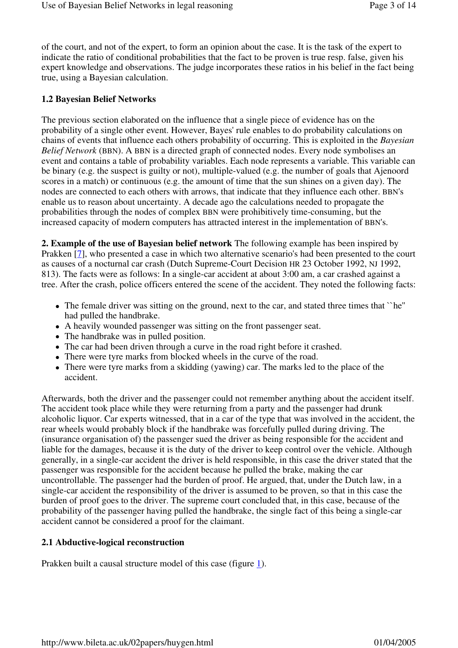of the court, and not of the expert, to form an opinion about the case. It is the task of the expert to indicate the ratio of conditional probabilities that the fact to be proven is true resp. false, given his expert knowledge and observations. The judge incorporates these ratios in his belief in the fact being true, using a Bayesian calculation.

#### **1.2 Bayesian Belief Networks**

The previous section elaborated on the influence that a single piece of evidence has on the probability of a single other event. However, Bayes' rule enables to do probability calculations on chains of events that influence each others probability of occurring. This is exploited in the *Bayesian Belief Network* (BBN). A BBN is a directed graph of connected nodes. Every node symbolises an event and contains a table of probability variables. Each node represents a variable. This variable can be binary (e.g. the suspect is guilty or not), multiple-valued (e.g. the number of goals that Ajenoord scores in a match) or continuous (e.g. the amount of time that the sun shines on a given day). The nodes are connected to each others with arrows, that indicate that they influence each other. BBN's enable us to reason about uncertainty. A decade ago the calculations needed to propagate the probabilities through the nodes of complex BBN were prohibitively time-consuming, but the increased capacity of modern computers has attracted interest in the implementation of BBN's.

**2. Example of the use of Bayesian belief network** The following example has been inspired by Prakken [7], who presented a case in which two alternative scenario's had been presented to the court as causes of a nocturnal car crash (Dutch Supreme-Court Decision HR 23 October 1992, NJ 1992, 813). The facts were as follows: In a single-car accident at about 3:00 am, a car crashed against a tree. After the crash, police officers entered the scene of the accident. They noted the following facts:

- The female driver was sitting on the ground, next to the car, and stated three times that "he" had pulled the handbrake.
- A heavily wounded passenger was sitting on the front passenger seat.
- The handbrake was in pulled position.
- The car had been driven through a curve in the road right before it crashed.
- There were tyre marks from blocked wheels in the curve of the road.
- There were tyre marks from a skidding (yawing) car. The marks led to the place of the accident.

Afterwards, both the driver and the passenger could not remember anything about the accident itself. The accident took place while they were returning from a party and the passenger had drunk alcoholic liquor. Car experts witnessed, that in a car of the type that was involved in the accident, the rear wheels would probably block if the handbrake was forcefully pulled during driving. The (insurance organisation of) the passenger sued the driver as being responsible for the accident and liable for the damages, because it is the duty of the driver to keep control over the vehicle. Although generally, in a single-car accident the driver is held responsible, in this case the driver stated that the passenger was responsible for the accident because he pulled the brake, making the car uncontrollable. The passenger had the burden of proof. He argued, that, under the Dutch law, in a single-car accident the responsibility of the driver is assumed to be proven, so that in this case the burden of proof goes to the driver. The supreme court concluded that, in this case, because of the probability of the passenger having pulled the handbrake, the single fact of this being a single-car accident cannot be considered a proof for the claimant.

#### **2.1 Abductive-logical reconstruction**

Prakken built a causal structure model of this case (figure 1).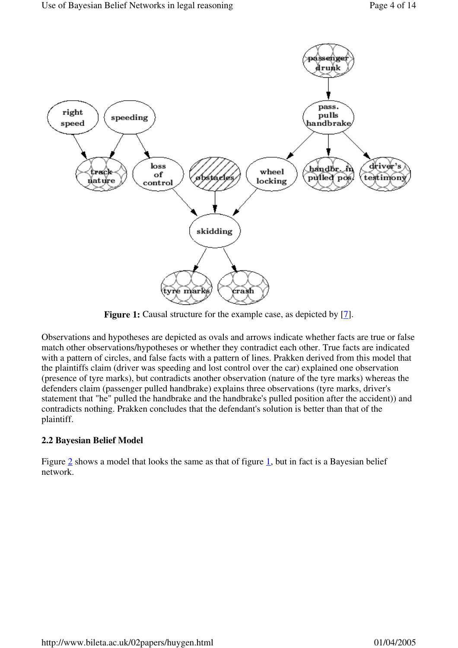

**Figure 1:** Causal structure for the example case, as depicted by [7].

Observations and hypotheses are depicted as ovals and arrows indicate whether facts are true or false match other observations/hypotheses or whether they contradict each other. True facts are indicated with a pattern of circles, and false facts with a pattern of lines. Prakken derived from this model that the plaintiffs claim (driver was speeding and lost control over the car) explained one observation (presence of tyre marks), but contradicts another observation (nature of the tyre marks) whereas the defenders claim (passenger pulled handbrake) explains three observations (tyre marks, driver's statement that "he" pulled the handbrake and the handbrake's pulled position after the accident)) and contradicts nothing. Prakken concludes that the defendant's solution is better than that of the plaintiff.

# **2.2 Bayesian Belief Model**

Figure 2 shows a model that looks the same as that of figure 1, but in fact is a Bayesian belief network.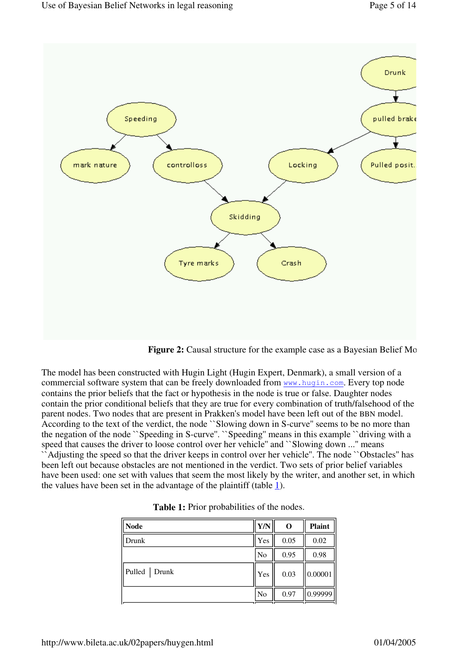

**Figure 2:** Causal structure for the example case as a Bayesian Belief Mo

The model has been constructed with Hugin Light (Hugin Expert, Denmark), a small version of a commercial software system that can be freely downloaded from www.hugin.com. Every top node contains the prior beliefs that the fact or hypothesis in the node is true or false. Daughter nodes contain the prior conditional beliefs that they are true for every combination of truth/falsehood of the parent nodes. Two nodes that are present in Prakken's model have been left out of the BBN model. According to the text of the verdict, the node ``Slowing down in S-curve'' seems to be no more than the negation of the node ``Speeding in S-curve''. ``Speeding'' means in this example ``driving with a speed that causes the driver to loose control over her vehicle" and ``Slowing down ..." means ``Adjusting the speed so that the driver keeps in control over her vehicle''. The node ``Obstacles'' has been left out because obstacles are not mentioned in the verdict. Two sets of prior belief variables have been used: one set with values that seem the most likely by the writer, and another set, in which the values have been set in the advantage of the plaintiff (table 1).

| <b>Node</b>    | Y/N            | O    | <b>Plaint</b> |
|----------------|----------------|------|---------------|
| Drunk          | Yes            | 0.05 | 0.02          |
|                | N <sub>o</sub> | 0.95 | 0.98          |
| Pulled   Drunk | Yes            | 0.03 | 0.00001       |
|                | No             | 0.97 | 0.99999       |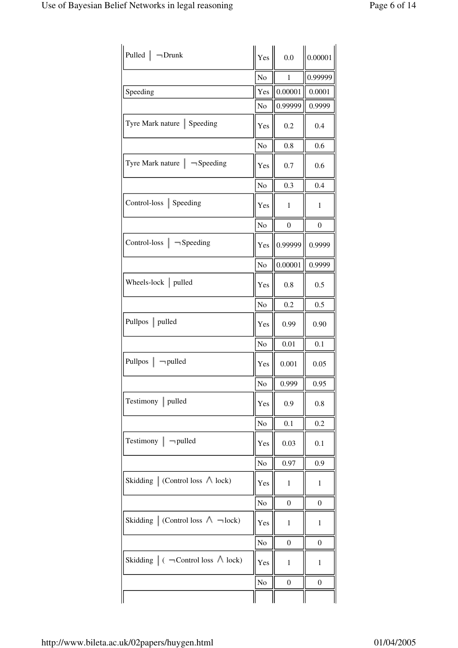| Pulled $\vert \neg$ Drunk                             | Yes            | 0.0              | 0.00001          |
|-------------------------------------------------------|----------------|------------------|------------------|
|                                                       | No             | $\mathbf{1}$     | 0.99999          |
| Speeding                                              | Yes            | 0.00001          | 0.0001           |
|                                                       | No             | 0.99999          | 0.9999           |
| Tyre Mark nature   Speeding                           | Yes            | 0.2              | 0.4              |
|                                                       | No             | 0.8              | 0.6              |
| Tyre Mark nature $\vert \neg$ Speeding                | Yes            | 0.7              | 0.6              |
|                                                       | No             | 0.3              | 0.4              |
| Control-loss   Speeding                               | Yes            | $\mathbf{1}$     | 1                |
|                                                       | No             | $\boldsymbol{0}$ | $\boldsymbol{0}$ |
| Control-loss $\vert$ $\neg$ Speeding                  | Yes            | 0.99999          | 0.9999           |
|                                                       | N <sub>o</sub> | 0.00001          | 0.9999           |
| Wheels-lock $ $ pulled                                | Yes            | 0.8              | 0.5              |
|                                                       | No             | 0.2              | 0.5              |
| Pullpos   pulled                                      | Yes            | 0.99             | 0.90             |
|                                                       | No             | 0.01             | 0.1              |
| Pullpos $\vert \neg$ pulled                           | Yes            | 0.001            | 0.05             |
|                                                       | $\rm No$       | 0.999            | 0.95             |
| Testimony   pulled                                    | Yes            | 0.9              | 0.8              |
|                                                       | No             | 0.1              | 0.2              |
| Testimony $\vert \neg$ pulled                         | Yes            | 0.03             | 0.1              |
|                                                       | N <sub>o</sub> | 0.97             | 0.9              |
| Skidding $\vert$ (Control loss $\wedge$ lock)         | Yes            | $\mathbf{1}$     | $\mathbf{1}$     |
|                                                       | N <sub>o</sub> | $\boldsymbol{0}$ | $\boldsymbol{0}$ |
| Skidding $\vert$ (Control loss $\land \neg$ lock)     | Yes            | $\mathbf{1}$     | 1                |
|                                                       | No             | $\boldsymbol{0}$ | 0                |
| Skidding $\vert$ ( $\neg$ Control loss $\wedge$ lock) | Yes            | $\mathbf{1}$     | 1                |
|                                                       | No             | $\boldsymbol{0}$ | 0                |
|                                                       |                |                  |                  |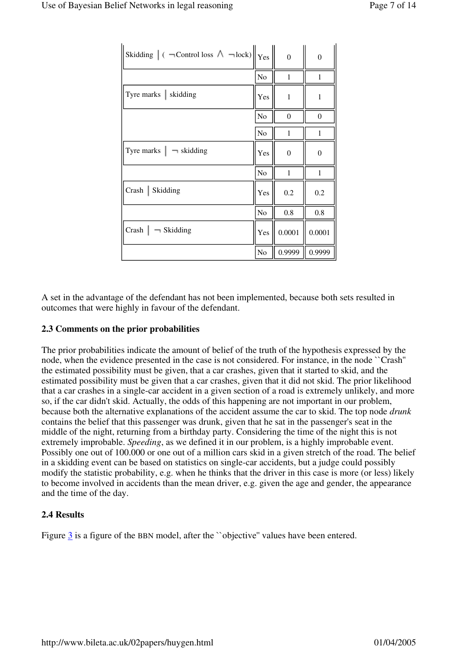| Skidding $\ $ ( $\neg$ Control loss $\wedge \neg$ lock) $\ $ Yes |                | $\overline{0}$ | $\overline{0}$ |
|------------------------------------------------------------------|----------------|----------------|----------------|
|                                                                  | No             | $\mathbf{1}$   | $\mathbf{1}$   |
| Tyre marks   skidding                                            | Yes            | 1              | $\mathbf{1}$   |
|                                                                  | No             | $\Omega$       | $\overline{0}$ |
|                                                                  | N <sub>o</sub> | 1              | 1              |
| Tyre marks $\vert \neg$ skidding                                 | Yes            | $\theta$       | $\overline{0}$ |
|                                                                  | N <sub>o</sub> | $\mathbf{1}$   | 1              |
| Crash   Skidding                                                 | Yes            | 0.2            | 0.2            |
|                                                                  | No             | $0.8\,$        | 0.8            |
| Crash $\vert \neg$ Skidding                                      | Yes            | 0.0001         | 0.0001         |
|                                                                  | No             | 0.9999         | 0.9999         |

A set in the advantage of the defendant has not been implemented, because both sets resulted in outcomes that were highly in favour of the defendant.

# **2.3 Comments on the prior probabilities**

The prior probabilities indicate the amount of belief of the truth of the hypothesis expressed by the node, when the evidence presented in the case is not considered. For instance, in the node ``Crash'' the estimated possibility must be given, that a car crashes, given that it started to skid, and the estimated possibility must be given that a car crashes, given that it did not skid. The prior likelihood that a car crashes in a single-car accident in a given section of a road is extremely unlikely, and more so, if the car didn't skid. Actually, the odds of this happening are not important in our problem, because both the alternative explanations of the accident assume the car to skid. The top node *drunk* contains the belief that this passenger was drunk, given that he sat in the passenger's seat in the middle of the night, returning from a birthday party. Considering the time of the night this is not extremely improbable. *Speeding*, as we defined it in our problem, is a highly improbable event. Possibly one out of 100.000 or one out of a million cars skid in a given stretch of the road. The belief in a skidding event can be based on statistics on single-car accidents, but a judge could possibly modify the statistic probability, e.g. when he thinks that the driver in this case is more (or less) likely to become involved in accidents than the mean driver, e.g. given the age and gender, the appearance and the time of the day.

# **2.4 Results**

Figure 3 is a figure of the BBN model, after the "objective" values have been entered.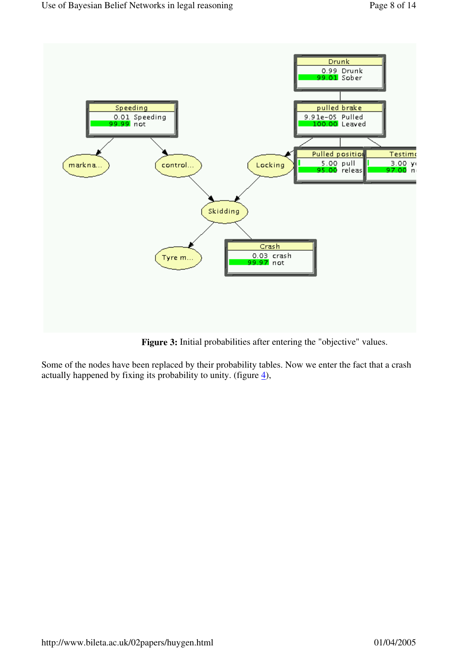

Figure 3: Initial probabilities after entering the "objective" values.

Some of the nodes have been replaced by their probability tables. Now we enter the fact that a crash actually happened by fixing its probability to unity. (figure  $\underline{4}$ ),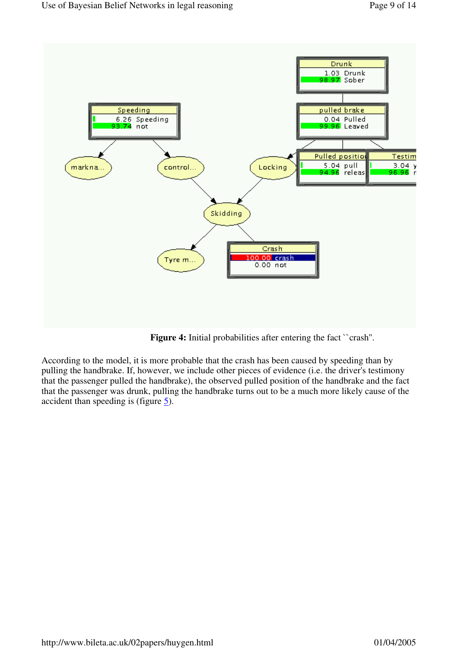

Figure 4: Initial probabilities after entering the fact "crash".

According to the model, it is more probable that the crash has been caused by speeding than by pulling the handbrake. If, however, we include other pieces of evidence (i.e. the driver's testimony that the passenger pulled the handbrake), the observed pulled position of the handbrake and the fact that the passenger was drunk, pulling the handbrake turns out to be a much more likely cause of the accident than speeding is (figure  $\overline{5}$ ).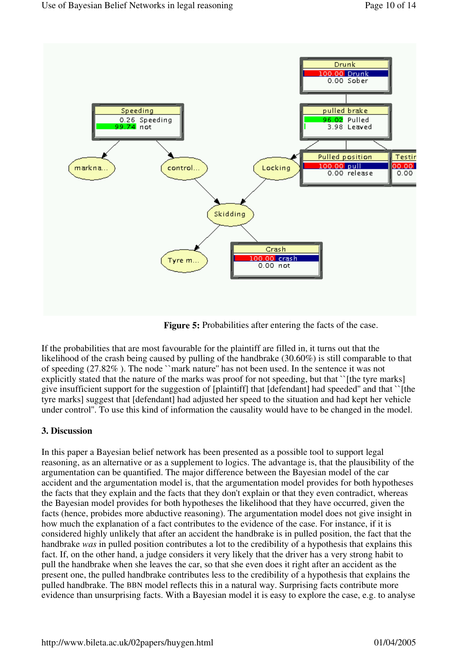

**Figure 5:** Probabilities after entering the facts of the case.

If the probabilities that are most favourable for the plaintiff are filled in, it turns out that the likelihood of the crash being caused by pulling of the handbrake (30.60%) is still comparable to that of speeding (27.82% ). The node ``mark nature'' has not been used. In the sentence it was not explicitly stated that the nature of the marks was proof for not speeding, but that ``[the tyre marks] give insufficient support for the suggestion of [plaintiff] that [defendant] had speeded'' and that ``[the tyre marks] suggest that [defendant] had adjusted her speed to the situation and had kept her vehicle under control''. To use this kind of information the causality would have to be changed in the model.

#### **3. Discussion**

In this paper a Bayesian belief network has been presented as a possible tool to support legal reasoning, as an alternative or as a supplement to logics. The advantage is, that the plausibility of the argumentation can be quantified. The major difference between the Bayesian model of the car accident and the argumentation model is, that the argumentation model provides for both hypotheses the facts that they explain and the facts that they don't explain or that they even contradict, whereas the Bayesian model provides for both hypotheses the likelihood that they have occurred, given the facts (hence, probides more abductive reasoning). The argumentation model does not give insight in how much the explanation of a fact contributes to the evidence of the case. For instance, if it is considered highly unlikely that after an accident the handbrake is in pulled position, the fact that the handbrake *was* in pulled position contributes a lot to the credibility of a hypothesis that explains this fact. If, on the other hand, a judge considers it very likely that the driver has a very strong habit to pull the handbrake when she leaves the car, so that she even does it right after an accident as the present one, the pulled handbrake contributes less to the credibility of a hypothesis that explains the pulled handbrake. The BBN model reflects this in a natural way. Surprising facts contribute more evidence than unsurprising facts. With a Bayesian model it is easy to explore the case, e.g. to analyse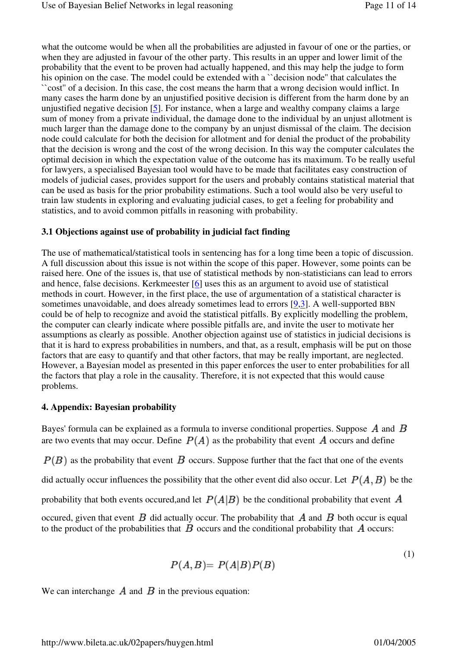what the outcome would be when all the probabilities are adjusted in favour of one or the parties, or when they are adjusted in favour of the other party. This results in an upper and lower limit of the probability that the event to be proven had actually happened, and this may help the judge to form his opinion on the case. The model could be extended with a "decision node" that calculates the ``cost'' of a decision. In this case, the cost means the harm that a wrong decision would inflict. In many cases the harm done by an unjustified positive decision is different from the harm done by an unjustified negative decision  $[5]$ . For instance, when a large and wealthy company claims a large sum of money from a private individual, the damage done to the individual by an unjust allotment is much larger than the damage done to the company by an unjust dismissal of the claim. The decision node could calculate for both the decision for allotment and for denial the product of the probability that the decision is wrong and the cost of the wrong decision. In this way the computer calculates the optimal decision in which the expectation value of the outcome has its maximum. To be really useful for lawyers, a specialised Bayesian tool would have to be made that facilitates easy construction of models of judicial cases, provides support for the users and probably contains statistical material that can be used as basis for the prior probability estimations. Such a tool would also be very useful to train law students in exploring and evaluating judicial cases, to get a feeling for probability and statistics, and to avoid common pitfalls in reasoning with probability.

#### **3.1 Objections against use of probability in judicial fact finding**

The use of mathematical/statistical tools in sentencing has for a long time been a topic of discussion. A full discussion about this issue is not within the scope of this paper. However, some points can be raised here. One of the issues is, that use of statistical methods by non-statisticians can lead to errors and hence, false decisions. Kerkmeester [6] uses this as an argument to avoid use of statistical methods in court. However, in the first place, the use of argumentation of a statistical character is sometimes unavoidable, and does already sometimes lead to errors  $[9,3]$ . A well-supported BBN could be of help to recognize and avoid the statistical pitfalls. By explicitly modelling the problem, the computer can clearly indicate where possible pitfalls are, and invite the user to motivate her assumptions as clearly as possible. Another objection against use of statistics in judicial decisions is that it is hard to express probabilities in numbers, and that, as a result, emphasis will be put on those factors that are easy to quantify and that other factors, that may be really important, are neglected. However, a Bayesian model as presented in this paper enforces the user to enter probabilities for all the factors that play a role in the causality. Therefore, it is not expected that this would cause problems.

# **4. Appendix: Bayesian probability**

Bayes' formula can be explained as a formula to inverse conditional properties. Suppose  $\vec{A}$  and  $\vec{B}$ are two events that may occur. Define  $P(A)$  as the probability that event A occurs and define

 $P(B)$  as the probability that event  $B$  occurs. Suppose further that the fact that one of the events

did actually occur influences the possibility that the other event did also occur. Let  $P(A, B)$  be the

probability that both events occurred, and let  $P(A|B)$  be the conditional probability that event A

occured, given that event  $\vec{B}$  did actually occur. The probability that  $\vec{A}$  and  $\vec{B}$  both occur is equal to the product of the probabilities that  $\vec{B}$  occurs and the conditional probability that  $\vec{A}$  occurs:

$$
P(A,B) = P(A|B)P(B)
$$
\n<sup>(1)</sup>

We can interchange  $\vec{A}$  and  $\vec{B}$  in the previous equation: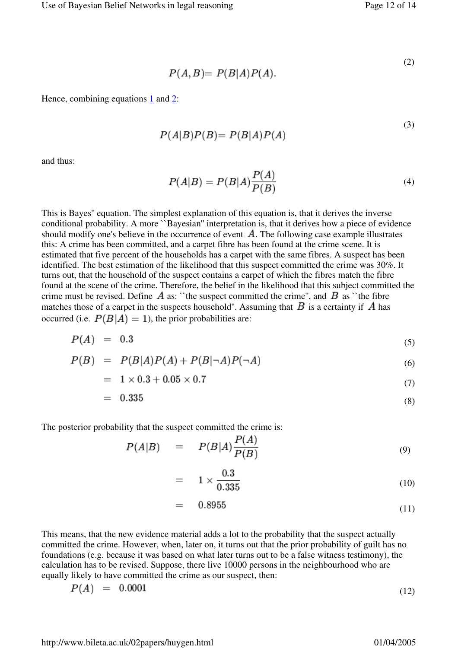$$
P(A,B) = P(B|A)P(A).
$$
\n<sup>(2)</sup>

Hence, combining equations 1 and 2:

$$
P(A|B)P(B) = P(B|A)P(A)
$$
\n(3)

and thus:

$$
P(A|B) = P(B|A)\frac{P(A)}{P(B)}
$$
\n<sup>(4)</sup>

This is Bayes'' equation. The simplest explanation of this equation is, that it derives the inverse conditional probability. A more ``Bayesian'' interpretation is, that it derives how a piece of evidence should modify one's believe in the occurrence of event  $\vec{A}$ . The following case example illustrates this: A crime has been committed, and a carpet fibre has been found at the crime scene. It is estimated that five percent of the households has a carpet with the same fibres. A suspect has been identified. The best estimation of the likelihood that this suspect committed the crime was 30%. It turns out, that the household of the suspect contains a carpet of which the fibres match the fibre found at the scene of the crime. Therefore, the belief in the likelihood that this subject committed the crime must be revised. Define  $\vec{A}$  as: "the suspect committed the crime", and  $\vec{B}$  as "the fibre matches those of a carpet in the suspects household". Assuming that  $B$  is a certainty if  $\vec{A}$  has occurred (i.e.  $P(B|A) = 1$ ), the prior probabilities are:

$$
P(A) = 0.3 \tag{5}
$$

$$
P(B) = P(B|A)P(A) + P(B|\neg A)P(\neg A)
$$
\n
$$
(6)
$$

$$
= 1 \times 0.3 + 0.05 \times 0.7 \tag{7}
$$

$$
= 0.335 \tag{8}
$$

The posterior probability that the suspect committed the crime is:

$$
P(A|B) = P(B|A)\frac{P(A)}{P(B)}\tag{9}
$$

$$
= 1 \times \frac{0.3}{0.335} \tag{10}
$$

$$
= 0.8955 \tag{11}
$$

This means, that the new evidence material adds a lot to the probability that the suspect actually committed the crime. However, when, later on, it turns out that the prior probability of guilt has no foundations (e.g. because it was based on what later turns out to be a false witness testimony), the calculation has to be revised. Suppose, there live 10000 persons in the neighbourhood who are equally likely to have committed the crime as our suspect, then:

$$
P(A) = 0.0001 \tag{12}
$$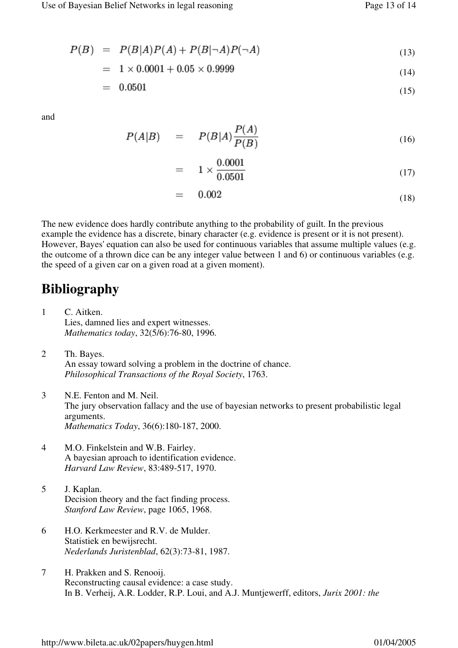$$
P(B) = P(B|A)P(A) + P(B|\neg A)P(\neg A)
$$
\n(13)

$$
= 1 \times 0.0001 + 0.05 \times 0.9999 \tag{14}
$$

$$
= 0.0501 \tag{15}
$$

and

$$
P(A|B) = P(B|A)\frac{P(A)}{P(B)}
$$
\n(16)

$$
= 1 \times \frac{0.0001}{0.0501} \tag{17}
$$

$$
= 0.002 \tag{18}
$$

The new evidence does hardly contribute anything to the probability of guilt. In the previous example the evidence has a discrete, binary character (e.g. evidence is present or it is not present). However, Bayes' equation can also be used for continuous variables that assume multiple values (e.g. the outcome of a thrown dice can be any integer value between 1 and 6) or continuous variables (e.g. the speed of a given car on a given road at a given moment).

# **Bibliography**

- 1 C. Aitken. Lies, damned lies and expert witnesses. *Mathematics today*, 32(5/6):76-80, 1996.
- 2 Th. Bayes. An essay toward solving a problem in the doctrine of chance. *Philosophical Transactions of the Royal Society*, 1763.
- 3 N.E. Fenton and M. Neil. The jury observation fallacy and the use of bayesian networks to present probabilistic legal arguments. *Mathematics Today*, 36(6):180-187, 2000.
- 4 M.O. Finkelstein and W.B. Fairley. A bayesian aproach to identification evidence. *Harvard Law Review*, 83:489-517, 1970.
- 5 J. Kaplan. Decision theory and the fact finding process. *Stanford Law Review*, page 1065, 1968.
- 6 H.O. Kerkmeester and R.V. de Mulder. Statistiek en bewijsrecht. *Nederlands Juristenblad*, 62(3):73-81, 1987.
- 7 H. Prakken and S. Renooij. Reconstructing causal evidence: a case study. In B. Verheij, A.R. Lodder, R.P. Loui, and A.J. Muntjewerff, editors, *Jurix 2001: the*